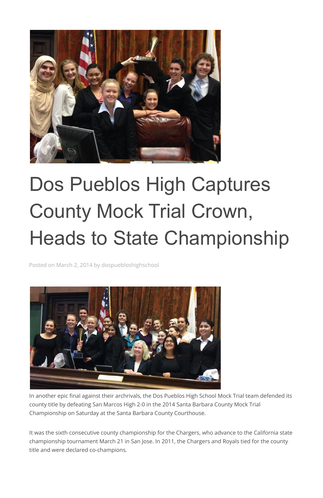

## Dos Pueblos High Captures County Mock Trial Crown, Heads to State Championship

Posted on March 2, 2014 by dospuebloshighschool



In another epic final against their archrivals, the Dos Pueblos High School Mock Trial team defended its county title by defeating San Marcos High 2-0 in the 2014 Santa Barbara County Mock Trial Championship on Saturday at the Santa Barbara County Courthouse.

It was the sixth consecutive county championship for the Chargers, who advance to the California state championship tournament March 21 in San Jose. In 2011, the Chargers and Royals tied for the county title and were declared co-champions.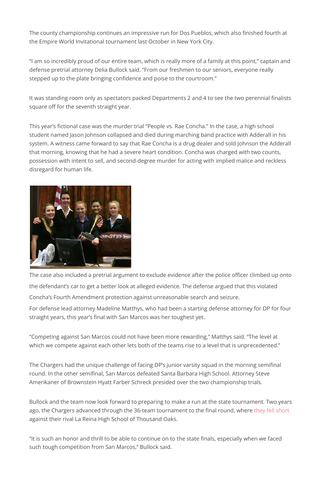The county championship continues an impressive run for Dos Pueblos, which also finished fourth at the Empire World Invitational tournament last October in New York City.

"I am so incredibly proud of our entire team, which is really more of a family at this point," captain and defense pretrial attorney Delia Bullock said. "From our freshmen to our seniors, everyone really stepped up to the plate bringing confidence and poise to the courtroom."

It was standing room only as spectators packed Departments 2 and 4 to see the two perennial finalists square off for the seventh straight year.

"Competing against San Marcos could not have been more rewarding," Matthys said. "The level at which we compete against each other lets both of the teams rise to a level that is unprecedented."

This year's fictional case was the murder trial "People vs. Rae Concha." In the case, a high school student named Jason Johnson collapsed and died during marching band practice with Adderall in his system. A witness came forward to say that Rae Concha is a drug dealer and sold Johnson the Adderall that morning, knowing that he had a severe heart condition. Concha was charged with two counts, possession with intent to sell, and second-degree murder for acting with implied malice and reckless disregard for human life.



The case also included a pretrial argument to exclude evidence after the police officer climbed up onto the defendant's car to get a better look at alleged evidence. The defense argued that this violated Concha's Fourth Amendment protection against unreasonable search and seizure.

For defense lead attorney Madeline Matthys, who had been a starting defense attorney for DP for four straight years, this year's final with San Marcos was her toughest yet.

The Chargers had the unique challenge of facing DP's junior varsity squad in the morning semifinal

round. In the other semifinal, San Marcos defeated Santa Barbara High School. Attorney Steve Amerikaner of Brownstein Hyatt Farber Schreck presided over the two championship trials.

Bullock and the team now look forward to preparing to make a run at the state tournament. Two years ago, the Chargers advanced through the 36-team tournament to the final round, where [they fell short](http://www.noozhawk.com/article/032512_la_reina_dos_pueblos_mock_trial) against their rival La Reina High School of Thousand Oaks.

"It is such an honor and thrill to be able to continue on to the state finals, especially when we faced such tough competition from San Marcos," Bullock said.